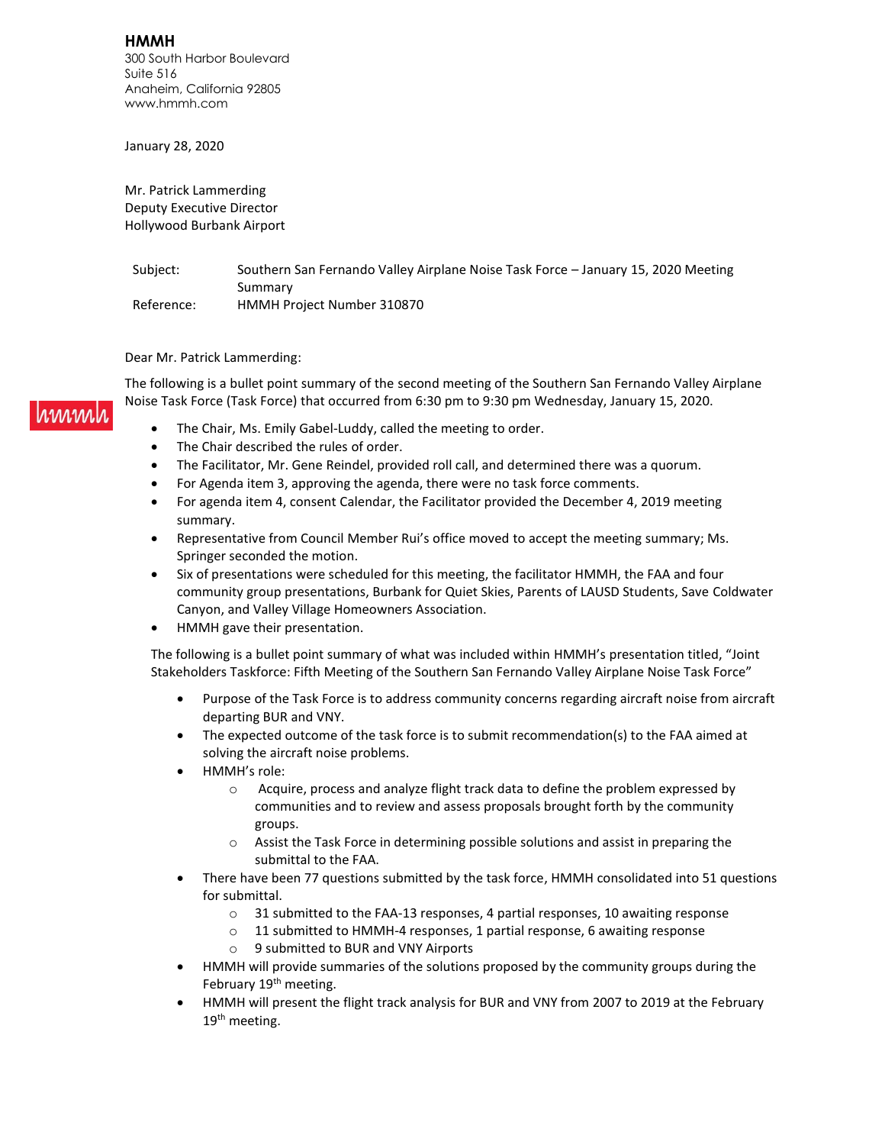**HMMH** 300 South Harbor Boulevard Suite 516 Anaheim, California 92805 www.hmmh.com

January 28, 2020

Mr. Patrick Lammerding Deputy Executive Director Hollywood Burbank Airport

Subject: Southern San Fernando Valley Airplane Noise Task Force - January 15, 2020 Meeting Summary Reference: HMMH Project Number 310870

Dear Mr. Patrick Lammerding:

immal

The following is a bullet point summary of the second meeting of the Southern San Fernando Valley Airplane Noise Task Force (Task Force) that occurred from 6:30 pm to 9:30 pm Wednesday, January 15, 2020.

- The Chair, Ms. Emily Gabel-Luddy, called the meeting to order.
- The Chair described the rules of order.
- The Facilitator, Mr. Gene Reindel, provided roll call, and determined there was a quorum.
- For Agenda item 3, approving the agenda, there were no task force comments.
- For agenda item 4, consent Calendar, the Facilitator provided the December 4, 2019 meeting summary.
- Representative from Council Member Rui's office moved to accept the meeting summary; Ms. Springer seconded the motion.
- Six of presentations were scheduled for this meeting, the facilitator HMMH, the FAA and four community group presentations, Burbank for Quiet Skies, Parents of LAUSD Students, Save Coldwater Canyon, and Valley Village Homeowners Association.
- HMMH gave their presentation.

The following is a bullet point summary of what was included within HMMH's presentation titled, "Joint Stakeholders Taskforce: Fifth Meeting of the Southern San Fernando Valley Airplane Noise Task Force"

- Purpose of the Task Force is to address community concerns regarding aircraft noise from aircraft departing BUR and VNY.
- The expected outcome of the task force is to submit recommendation(s) to the FAA aimed at solving the aircraft noise problems.
- HMMH's role:
	- o Acquire, process and analyze flight track data to define the problem expressed by communities and to review and assess proposals brought forth by the community groups.
	- o Assist the Task Force in determining possible solutions and assist in preparing the submittal to the FAA.
- There have been 77 questions submitted by the task force, HMMH consolidated into 51 questions for submittal.
	- o 31 submitted to the FAA-13 responses, 4 partial responses, 10 awaiting response
	- o 11 submitted to HMMH-4 responses, 1 partial response, 6 awaiting response
	- o 9 submitted to BUR and VNY Airports
- HMMH will provide summaries of the solutions proposed by the community groups during the February 19<sup>th</sup> meeting.
- HMMH will present the flight track analysis for BUR and VNY from 2007 to 2019 at the February 19<sup>th</sup> meeting.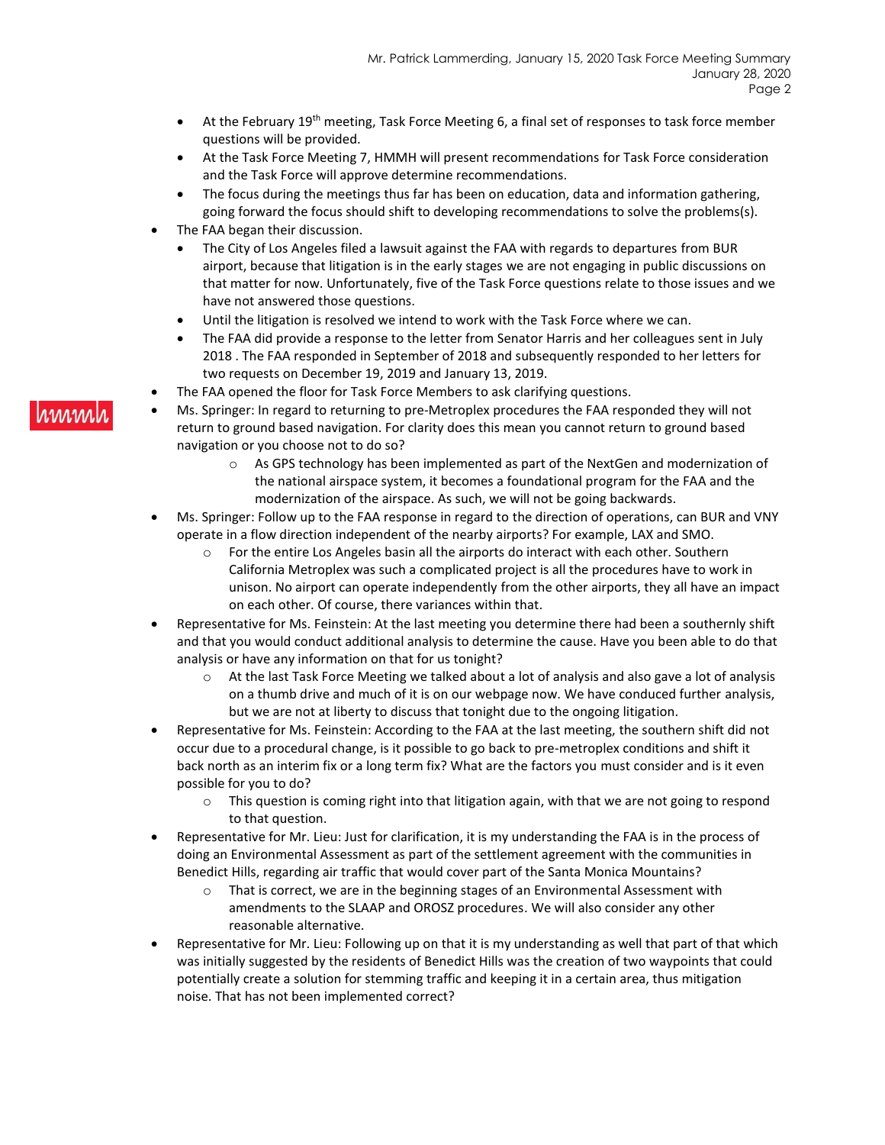- At the February 19<sup>th</sup> meeting, Task Force Meeting 6, a final set of responses to task force member questions will be provided.
- At the Task Force Meeting 7, HMMH will present recommendations for Task Force consideration and the Task Force will approve determine recommendations.
- The focus during the meetings thus far has been on education, data and information gathering, going forward the focus should shift to developing recommendations to solve the problems(s).
- The FAA began their discussion.
	- The City of Los Angeles filed a lawsuit against the FAA with regards to departures from BUR airport, because that litigation is in the early stages we are not engaging in public discussions on that matter for now. Unfortunately, five of the Task Force questions relate to those issues and we have not answered those questions.
	- Until the litigation is resolved we intend to work with the Task Force where we can.
	- The FAA did provide a response to the letter from Senator Harris and her colleagues sent in July 2018 . The FAA responded in September of 2018 and subsequently responded to her letters for two requests on December 19, 2019 and January 13, 2019.
- The FAA opened the floor for Task Force Members to ask clarifying questions.
- Ms. Springer: In regard to returning to pre-Metroplex procedures the FAA responded they will not return to ground based navigation. For clarity does this mean you cannot return to ground based navigation or you choose not to do so?
	- $\circ$  As GPS technology has been implemented as part of the NextGen and modernization of the national airspace system, it becomes a foundational program for the FAA and the modernization of the airspace. As such, we will not be going backwards.
- Ms. Springer: Follow up to the FAA response in regard to the direction of operations, can BUR and VNY operate in a flow direction independent of the nearby airports? For example, LAX and SMO.
	- $\circ$  For the entire Los Angeles basin all the airports do interact with each other. Southern California Metroplex was such a complicated project is all the procedures have to work in unison. No airport can operate independently from the other airports, they all have an impact on each other. Of course, there variances within that.
- Representative for Ms. Feinstein: At the last meeting you determine there had been a southernly shift and that you would conduct additional analysis to determine the cause. Have you been able to do that analysis or have any information on that for us tonight?
	- o At the last Task Force Meeting we talked about a lot of analysis and also gave a lot of analysis on a thumb drive and much of it is on our webpage now. We have conduced further analysis, but we are not at liberty to discuss that tonight due to the ongoing litigation.
- Representative for Ms. Feinstein: According to the FAA at the last meeting, the southern shift did not occur due to a procedural change, is it possible to go back to pre-metroplex conditions and shift it back north as an interim fix or a long term fix? What are the factors you must consider and is it even possible for you to do?
	- o This question is coming right into that litigation again, with that we are not going to respond to that question.
- Representative for Mr. Lieu: Just for clarification, it is my understanding the FAA is in the process of doing an Environmental Assessment as part of the settlement agreement with the communities in Benedict Hills, regarding air traffic that would cover part of the Santa Monica Mountains?
	- $\circ$  That is correct, we are in the beginning stages of an Environmental Assessment with amendments to the SLAAP and OROSZ procedures. We will also consider any other reasonable alternative.
- Representative for Mr. Lieu: Following up on that it is my understanding as well that part of that which was initially suggested by the residents of Benedict Hills was the creation of two waypoints that could potentially create a solution for stemming traffic and keeping it in a certain area, thus mitigation noise. That has not been implemented correct?

#### nnnnn l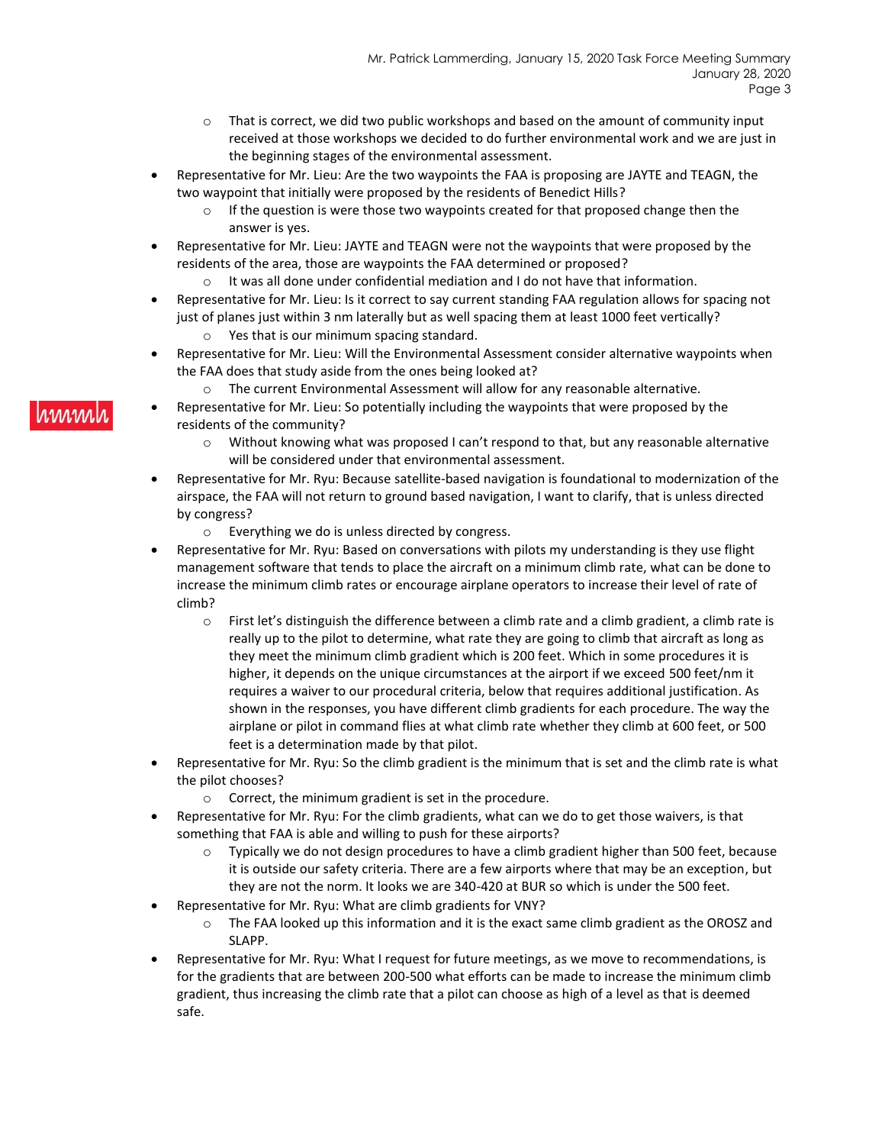- $\circ$  That is correct, we did two public workshops and based on the amount of community input received at those workshops we decided to do further environmental work and we are just in the beginning stages of the environmental assessment.
- Representative for Mr. Lieu: Are the two waypoints the FAA is proposing are JAYTE and TEAGN, the two waypoint that initially were proposed by the residents of Benedict Hills?
	- $\circ$  If the question is were those two waypoints created for that proposed change then the answer is yes.
- Representative for Mr. Lieu: JAYTE and TEAGN were not the waypoints that were proposed by the residents of the area, those are waypoints the FAA determined or proposed?
	- $\circ$  It was all done under confidential mediation and I do not have that information.
- Representative for Mr. Lieu: Is it correct to say current standing FAA regulation allows for spacing not just of planes just within 3 nm laterally but as well spacing them at least 1000 feet vertically? Yes that is our minimum spacing standard.
- Representative for Mr. Lieu: Will the Environmental Assessment consider alternative waypoints when the FAA does that study aside from the ones being looked at?
	- $\circ$  The current Environmental Assessment will allow for any reasonable alternative.
- Representative for Mr. Lieu: So potentially including the waypoints that were proposed by the residents of the community?
	- $\circ$  Without knowing what was proposed I can't respond to that, but any reasonable alternative will be considered under that environmental assessment.
- Representative for Mr. Ryu: Because satellite-based navigation is foundational to modernization of the airspace, the FAA will not return to ground based navigation, I want to clarify, that is unless directed by congress?
	- o Everything we do is unless directed by congress.
- Representative for Mr. Ryu: Based on conversations with pilots my understanding is they use flight management software that tends to place the aircraft on a minimum climb rate, what can be done to increase the minimum climb rates or encourage airplane operators to increase their level of rate of climb?
	- o First let's distinguish the difference between a climb rate and a climb gradient, a climb rate is really up to the pilot to determine, what rate they are going to climb that aircraft as long as they meet the minimum climb gradient which is 200 feet. Which in some procedures it is higher, it depends on the unique circumstances at the airport if we exceed 500 feet/nm it requires a waiver to our procedural criteria, below that requires additional justification. As shown in the responses, you have different climb gradients for each procedure. The way the airplane or pilot in command flies at what climb rate whether they climb at 600 feet, or 500 feet is a determination made by that pilot.
- Representative for Mr. Ryu: So the climb gradient is the minimum that is set and the climb rate is what the pilot chooses?
	- o Correct, the minimum gradient is set in the procedure.
- Representative for Mr. Ryu: For the climb gradients, what can we do to get those waivers, is that something that FAA is able and willing to push for these airports?
	- $\circ$  Typically we do not design procedures to have a climb gradient higher than 500 feet, because it is outside our safety criteria. There are a few airports where that may be an exception, but they are not the norm. It looks we are 340-420 at BUR so which is under the 500 feet.
- Representative for Mr. Ryu: What are climb gradients for VNY?
	- o The FAA looked up this information and it is the exact same climb gradient as the OROSZ and SLAPP.
- Representative for Mr. Ryu: What I request for future meetings, as we move to recommendations, is for the gradients that are between 200-500 what efforts can be made to increase the minimum climb gradient, thus increasing the climb rate that a pilot can choose as high of a level as that is deemed safe.

#### **MMM**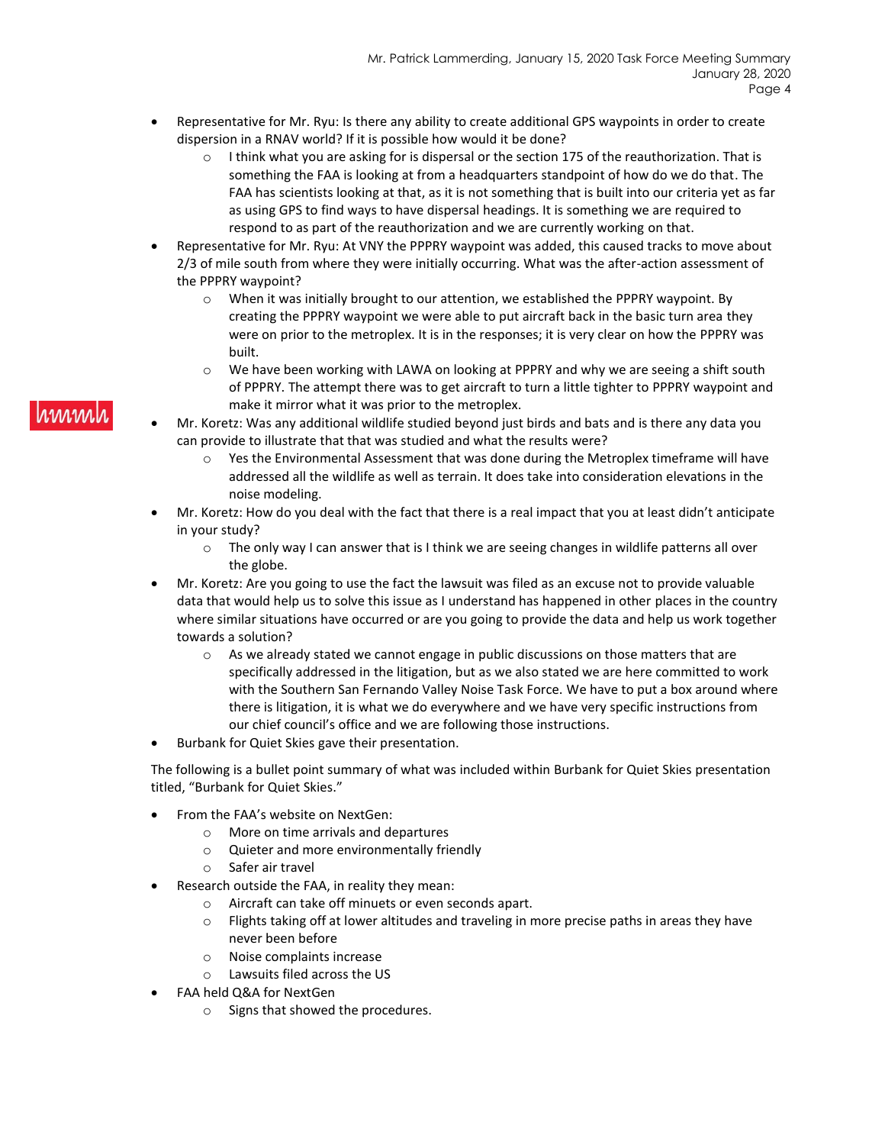- Representative for Mr. Ryu: Is there any ability to create additional GPS waypoints in order to create dispersion in a RNAV world? If it is possible how would it be done?
	- o I think what you are asking for is dispersal or the section 175 of the reauthorization. That is something the FAA is looking at from a headquarters standpoint of how do we do that. The FAA has scientists looking at that, as it is not something that is built into our criteria yet as far as using GPS to find ways to have dispersal headings. It is something we are required to respond to as part of the reauthorization and we are currently working on that.
- Representative for Mr. Ryu: At VNY the PPPRY waypoint was added, this caused tracks to move about 2/3 of mile south from where they were initially occurring. What was the after-action assessment of the PPPRY waypoint?
	- $\circ$  When it was initially brought to our attention, we established the PPPRY waypoint. By creating the PPPRY waypoint we were able to put aircraft back in the basic turn area they were on prior to the metroplex. It is in the responses; it is very clear on how the PPPRY was built.
	- o We have been working with LAWA on looking at PPPRY and why we are seeing a shift south of PPPRY. The attempt there was to get aircraft to turn a little tighter to PPPRY waypoint and make it mirror what it was prior to the metroplex.
- Mr. Koretz: Was any additional wildlife studied beyond just birds and bats and is there any data you can provide to illustrate that that was studied and what the results were?
	- $\circ$  Yes the Environmental Assessment that was done during the Metroplex timeframe will have addressed all the wildlife as well as terrain. It does take into consideration elevations in the noise modeling.
- Mr. Koretz: How do you deal with the fact that there is a real impact that you at least didn't anticipate in your study?
	- $\circ$  The only way I can answer that is I think we are seeing changes in wildlife patterns all over the globe.
- Mr. Koretz: Are you going to use the fact the lawsuit was filed as an excuse not to provide valuable data that would help us to solve this issue as I understand has happened in other places in the country where similar situations have occurred or are you going to provide the data and help us work together towards a solution?
	- $\circ$  As we already stated we cannot engage in public discussions on those matters that are specifically addressed in the litigation, but as we also stated we are here committed to work with the Southern San Fernando Valley Noise Task Force. We have to put a box around where there is litigation, it is what we do everywhere and we have very specific instructions from our chief council's office and we are following those instructions.
- Burbank for Quiet Skies gave their presentation.

The following is a bullet point summary of what was included within Burbank for Quiet Skies presentation titled, "Burbank for Quiet Skies."

- From the FAA's website on NextGen:
	- o More on time arrivals and departures
	- o Quieter and more environmentally friendly
	- o Safer air travel
- Research outside the FAA, in reality they mean:
	- o Aircraft can take off minuets or even seconds apart.
	- $\circ$  Flights taking off at lower altitudes and traveling in more precise paths in areas they have never been before
	- o Noise complaints increase
	- o Lawsuits filed across the US
- FAA held Q&A for NextGen
	- o Signs that showed the procedures.

## rmml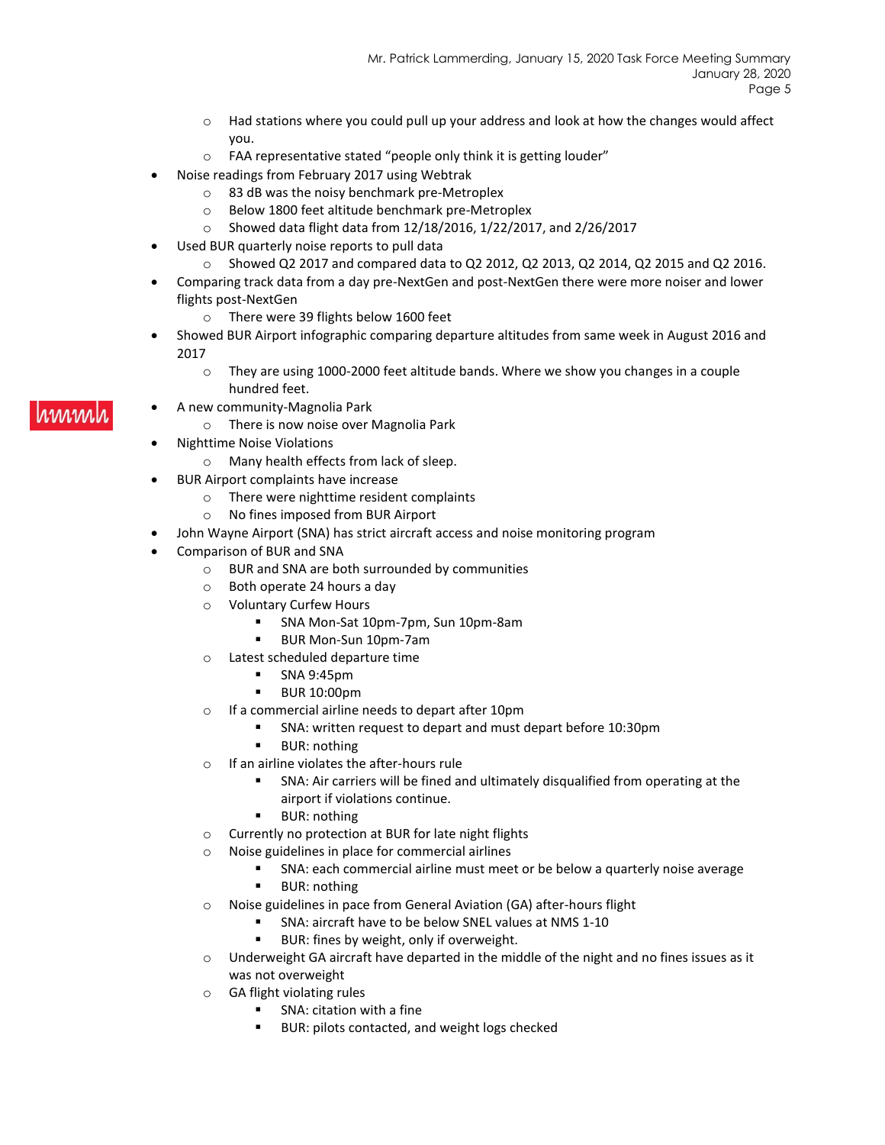- $\circ$  Had stations where you could pull up your address and look at how the changes would affect you.
- o FAA representative stated "people only think it is getting louder"
- Noise readings from February 2017 using Webtrak
	- o 83 dB was the noisy benchmark pre-Metroplex
	- o Below 1800 feet altitude benchmark pre-Metroplex
	- o Showed data flight data from 12/18/2016, 1/22/2017, and 2/26/2017
- Used BUR quarterly noise reports to pull data
	- o Showed Q2 2017 and compared data to Q2 2012, Q2 2013, Q2 2014, Q2 2015 and Q2 2016.
- Comparing track data from a day pre-NextGen and post-NextGen there were more noiser and lower flights post-NextGen
	- o There were 39 flights below 1600 feet
- Showed BUR Airport infographic comparing departure altitudes from same week in August 2016 and 2017
	- o They are using 1000-2000 feet altitude bands. Where we show you changes in a couple hundred feet.
- A new community-Magnolia Park
	- o There is now noise over Magnolia Park
	- Nighttime Noise Violations
		- o Many health effects from lack of sleep.
	- BUR Airport complaints have increase
		- o There were nighttime resident complaints
		- o No fines imposed from BUR Airport
	- John Wayne Airport (SNA) has strict aircraft access and noise monitoring program
	- Comparison of BUR and SNA
		- o BUR and SNA are both surrounded by communities
			- o Both operate 24 hours a day
			- o Voluntary Curfew Hours
				- SNA Mon-Sat 10pm-7pm, Sun 10pm-8am
				- BUR Mon-Sun 10pm-7am
			- o Latest scheduled departure time
				- SNA 9:45pm
				- **BUR 10:00pm**
			- o If a commercial airline needs to depart after 10pm
				- SNA: written request to depart and must depart before 10:30pm
					- **BUR: nothing**
			- o If an airline violates the after-hours rule
				- SNA: Air carriers will be fined and ultimately disqualified from operating at the airport if violations continue.
				- **BUR: nothing**
			- o Currently no protection at BUR for late night flights
			- o Noise guidelines in place for commercial airlines
				- SNA: each commercial airline must meet or be below a quarterly noise average
				- **BUR: nothing**
			- o Noise guidelines in pace from General Aviation (GA) after-hours flight
				- SNA: aircraft have to be below SNEL values at NMS 1-10
					- BUR: fines by weight, only if overweight.
			- $\circ$  Underweight GA aircraft have departed in the middle of the night and no fines issues as it was not overweight
			- o GA flight violating rules
				- SNA: citation with a fine
				- BUR: pilots contacted, and weight logs checked

#### www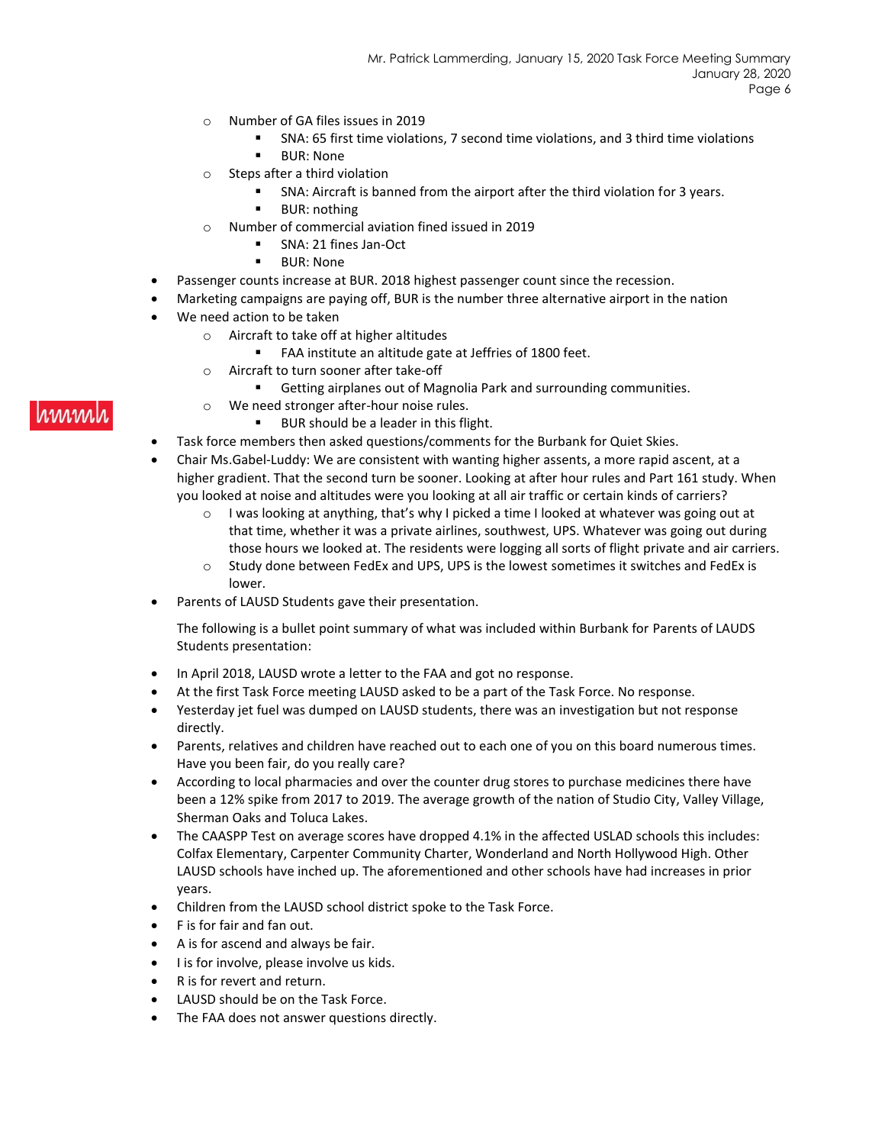- o Number of GA files issues in 2019
	- SNA: 65 first time violations, 7 second time violations, and 3 third time violations
	- **BUR: None**
- o Steps after a third violation
	- SNA: Aircraft is banned from the airport after the third violation for 3 years.
	- **BUR: nothing**
- o Number of commercial aviation fined issued in 2019
	- SNA: 21 fines Jan-Oct
	- BUR: None
- Passenger counts increase at BUR. 2018 highest passenger count since the recession.
- Marketing campaigns are paying off, BUR is the number three alternative airport in the nation
- We need action to be taken
	- o Aircraft to take off at higher altitudes
		- FAA institute an altitude gate at Jeffries of 1800 feet.
	- o Aircraft to turn sooner after take-off
		- Getting airplanes out of Magnolia Park and surrounding communities.
	- o We need stronger after-hour noise rules.
		- BUR should be a leader in this flight.
- Task force members then asked questions/comments for the Burbank for Quiet Skies.
- Chair Ms.Gabel-Luddy: We are consistent with wanting higher assents, a more rapid ascent, at a higher gradient. That the second turn be sooner. Looking at after hour rules and Part 161 study. When you looked at noise and altitudes were you looking at all air traffic or certain kinds of carriers?
	- $\circ$  I was looking at anything, that's why I picked a time I looked at whatever was going out at that time, whether it was a private airlines, southwest, UPS. Whatever was going out during those hours we looked at. The residents were logging all sorts of flight private and air carriers.
	- $\circ$  Study done between FedEx and UPS, UPS is the lowest sometimes it switches and FedEx is lower.
- Parents of LAUSD Students gave their presentation.

The following is a bullet point summary of what was included within Burbank for Parents of LAUDS Students presentation:

- In April 2018, LAUSD wrote a letter to the FAA and got no response.
- At the first Task Force meeting LAUSD asked to be a part of the Task Force. No response.
- Yesterday jet fuel was dumped on LAUSD students, there was an investigation but not response directly.
- Parents, relatives and children have reached out to each one of you on this board numerous times. Have you been fair, do you really care?
- According to local pharmacies and over the counter drug stores to purchase medicines there have been a 12% spike from 2017 to 2019. The average growth of the nation of Studio City, Valley Village, Sherman Oaks and Toluca Lakes.
- The CAASPP Test on average scores have dropped 4.1% in the affected USLAD schools this includes: Colfax Elementary, Carpenter Community Charter, Wonderland and North Hollywood High. Other LAUSD schools have inched up. The aforementioned and other schools have had increases in prior years.
- Children from the LAUSD school district spoke to the Task Force.
- F is for fair and fan out.
- A is for ascend and always be fair.
- I is for involve, please involve us kids.
- R is for revert and return.
- LAUSD should be on the Task Force.
- The FAA does not answer questions directly.

## hmml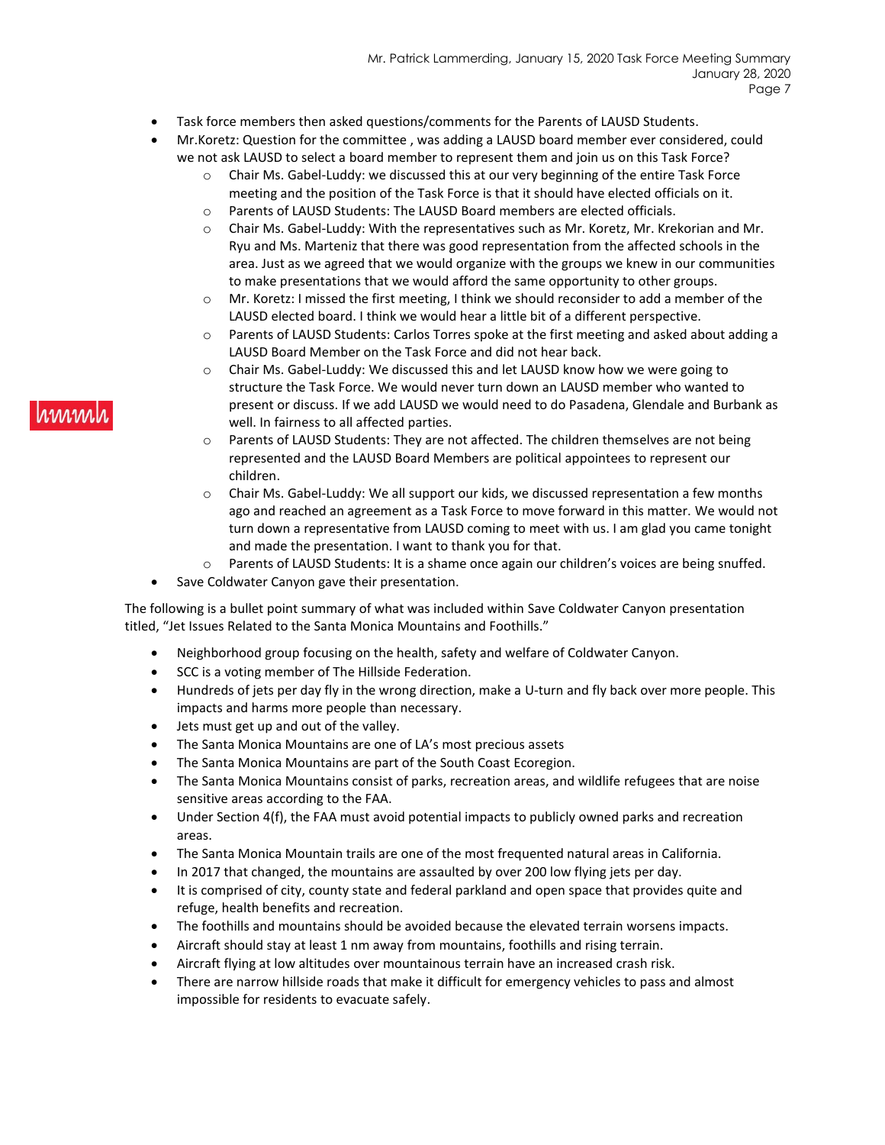- Task force members then asked questions/comments for the Parents of LAUSD Students.
- Mr.Koretz: Question for the committee , was adding a LAUSD board member ever considered, could we not ask LAUSD to select a board member to represent them and join us on this Task Force?
	- $\circ$  Chair Ms. Gabel-Luddy: we discussed this at our very beginning of the entire Task Force meeting and the position of the Task Force is that it should have elected officials on it.
	- o Parents of LAUSD Students: The LAUSD Board members are elected officials.
	- o Chair Ms. Gabel-Luddy: With the representatives such as Mr. Koretz, Mr. Krekorian and Mr. Ryu and Ms. Marteniz that there was good representation from the affected schools in the area. Just as we agreed that we would organize with the groups we knew in our communities to make presentations that we would afford the same opportunity to other groups.
	- o Mr. Koretz: I missed the first meeting, I think we should reconsider to add a member of the LAUSD elected board. I think we would hear a little bit of a different perspective.
	- o Parents of LAUSD Students: Carlos Torres spoke at the first meeting and asked about adding a LAUSD Board Member on the Task Force and did not hear back.
	- $\circ$  Chair Ms. Gabel-Luddy: We discussed this and let LAUSD know how we were going to structure the Task Force. We would never turn down an LAUSD member who wanted to present or discuss. If we add LAUSD we would need to do Pasadena, Glendale and Burbank as well. In fairness to all affected parties.
	- o Parents of LAUSD Students: They are not affected. The children themselves are not being represented and the LAUSD Board Members are political appointees to represent our children.
	- o Chair Ms. Gabel-Luddy: We all support our kids, we discussed representation a few months ago and reached an agreement as a Task Force to move forward in this matter. We would not turn down a representative from LAUSD coming to meet with us. I am glad you came tonight and made the presentation. I want to thank you for that.
	- o Parents of LAUSD Students: It is a shame once again our children's voices are being snuffed.
- Save Coldwater Canyon gave their presentation.

The following is a bullet point summary of what was included within Save Coldwater Canyon presentation titled, "Jet Issues Related to the Santa Monica Mountains and Foothills."

- Neighborhood group focusing on the health, safety and welfare of Coldwater Canyon.
- SCC is a voting member of The Hillside Federation.
- Hundreds of jets per day fly in the wrong direction, make a U-turn and fly back over more people. This impacts and harms more people than necessary.
- Jets must get up and out of the valley.
- The Santa Monica Mountains are one of LA's most precious assets
- The Santa Monica Mountains are part of the South Coast Ecoregion.
- The Santa Monica Mountains consist of parks, recreation areas, and wildlife refugees that are noise sensitive areas according to the FAA.
- Under Section 4(f), the FAA must avoid potential impacts to publicly owned parks and recreation areas.
- The Santa Monica Mountain trails are one of the most frequented natural areas in California.
- In 2017 that changed, the mountains are assaulted by over 200 low flying jets per day.
- It is comprised of city, county state and federal parkland and open space that provides quite and refuge, health benefits and recreation.
- The foothills and mountains should be avoided because the elevated terrain worsens impacts.
- Aircraft should stay at least 1 nm away from mountains, foothills and rising terrain.
- Aircraft flying at low altitudes over mountainous terrain have an increased crash risk.
- There are narrow hillside roads that make it difficult for emergency vehicles to pass and almost impossible for residents to evacuate safely.

#### rmm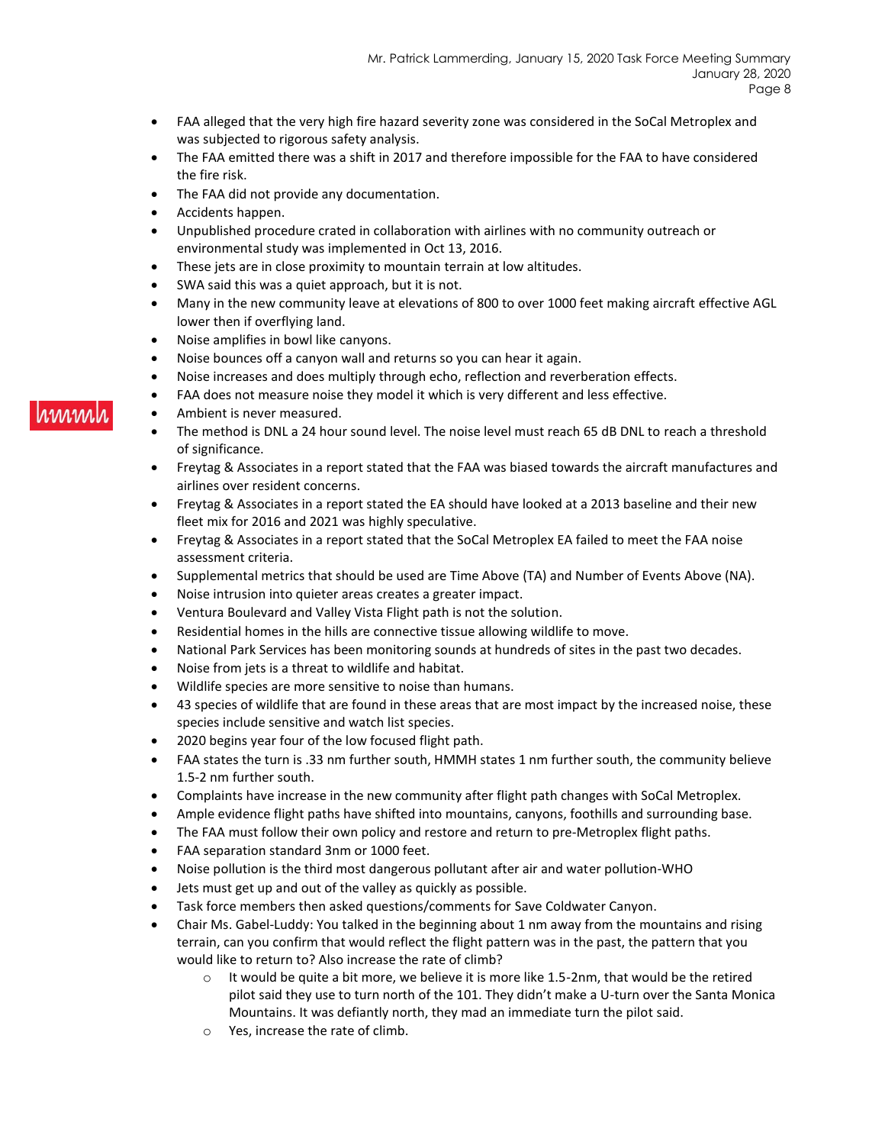- FAA alleged that the very high fire hazard severity zone was considered in the SoCal Metroplex and was subjected to rigorous safety analysis.
- The FAA emitted there was a shift in 2017 and therefore impossible for the FAA to have considered the fire risk.
- The FAA did not provide any documentation.
- Accidents happen.
- Unpublished procedure crated in collaboration with airlines with no community outreach or environmental study was implemented in Oct 13, 2016.
- These jets are in close proximity to mountain terrain at low altitudes.
- SWA said this was a quiet approach, but it is not.
- Many in the new community leave at elevations of 800 to over 1000 feet making aircraft effective AGL lower then if overflying land.
- Noise amplifies in bowl like canyons.
- Noise bounces off a canyon wall and returns so you can hear it again.
- Noise increases and does multiply through echo, reflection and reverberation effects.
- FAA does not measure noise they model it which is very different and less effective.
- Ambient is never measured.
- The method is DNL a 24 hour sound level. The noise level must reach 65 dB DNL to reach a threshold of significance.
- Freytag & Associates in a report stated that the FAA was biased towards the aircraft manufactures and airlines over resident concerns.
- Freytag & Associates in a report stated the EA should have looked at a 2013 baseline and their new fleet mix for 2016 and 2021 was highly speculative.
- Freytag & Associates in a report stated that the SoCal Metroplex EA failed to meet the FAA noise assessment criteria.
- Supplemental metrics that should be used are Time Above (TA) and Number of Events Above (NA).
- Noise intrusion into quieter areas creates a greater impact.
- Ventura Boulevard and Valley Vista Flight path is not the solution.
- Residential homes in the hills are connective tissue allowing wildlife to move.
- National Park Services has been monitoring sounds at hundreds of sites in the past two decades.
- Noise from jets is a threat to wildlife and habitat.
- Wildlife species are more sensitive to noise than humans.
- 43 species of wildlife that are found in these areas that are most impact by the increased noise, these species include sensitive and watch list species.
- 2020 begins year four of the low focused flight path.
- FAA states the turn is .33 nm further south, HMMH states 1 nm further south, the community believe 1.5-2 nm further south.
- Complaints have increase in the new community after flight path changes with SoCal Metroplex.
- Ample evidence flight paths have shifted into mountains, canyons, foothills and surrounding base.
- The FAA must follow their own policy and restore and return to pre-Metroplex flight paths.
- FAA separation standard 3nm or 1000 feet.
- Noise pollution is the third most dangerous pollutant after air and water pollution-WHO
- Jets must get up and out of the valley as quickly as possible.
- Task force members then asked questions/comments for Save Coldwater Canyon.
- Chair Ms. Gabel-Luddy: You talked in the beginning about 1 nm away from the mountains and rising terrain, can you confirm that would reflect the flight pattern was in the past, the pattern that you would like to return to? Also increase the rate of climb?
	- $\circ$  It would be quite a bit more, we believe it is more like 1.5-2nm, that would be the retired pilot said they use to turn north of the 101. They didn't make a U-turn over the Santa Monica Mountains. It was defiantly north, they mad an immediate turn the pilot said.
	- o Yes, increase the rate of climb.

# www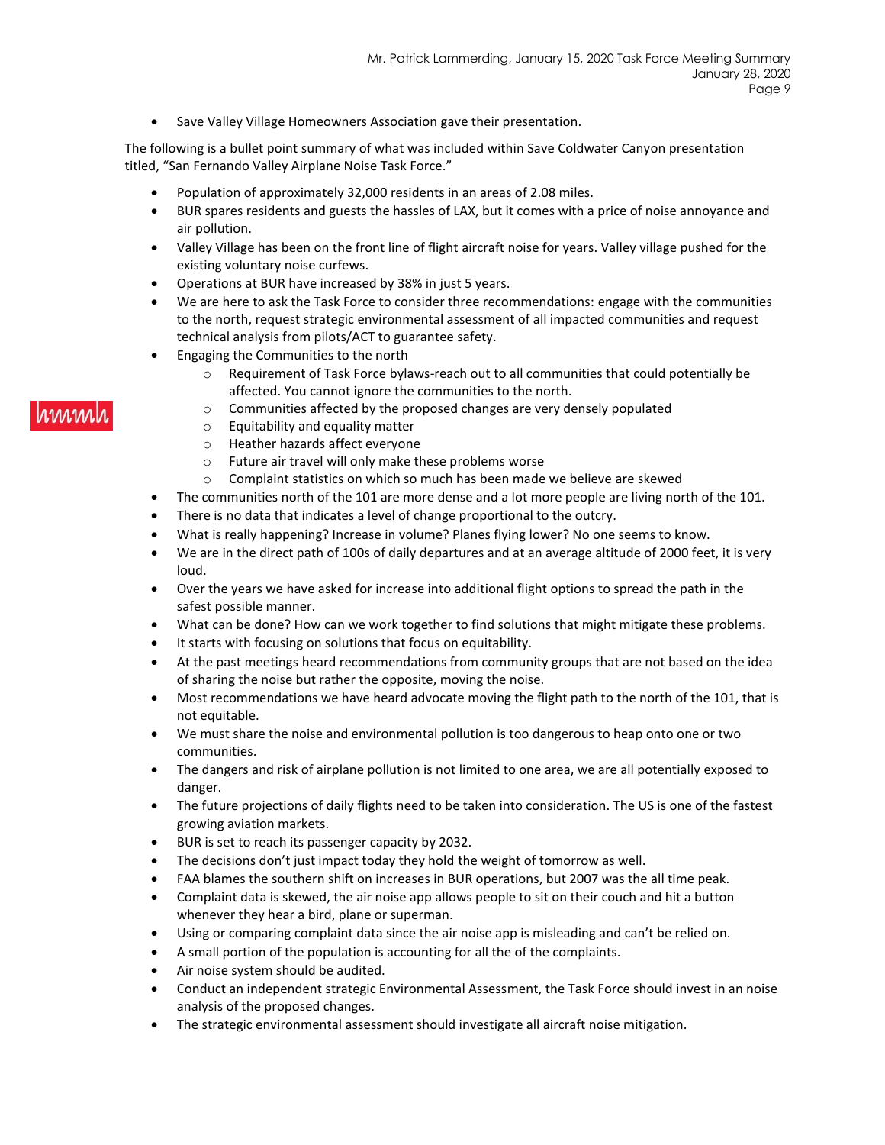• Save Valley Village Homeowners Association gave their presentation.

The following is a bullet point summary of what was included within Save Coldwater Canyon presentation titled, "San Fernando Valley Airplane Noise Task Force."

- Population of approximately 32,000 residents in an areas of 2.08 miles.
- BUR spares residents and guests the hassles of LAX, but it comes with a price of noise annoyance and air pollution.
- Valley Village has been on the front line of flight aircraft noise for years. Valley village pushed for the existing voluntary noise curfews.
- Operations at BUR have increased by 38% in just 5 years.
- We are here to ask the Task Force to consider three recommendations: engage with the communities to the north, request strategic environmental assessment of all impacted communities and request technical analysis from pilots/ACT to guarantee safety.
- Engaging the Communities to the north
	- $\circ$  Requirement of Task Force bylaws-reach out to all communities that could potentially be affected. You cannot ignore the communities to the north.
	- o Communities affected by the proposed changes are very densely populated
	- o Equitability and equality matter
	- o Heather hazards affect everyone
	- o Future air travel will only make these problems worse
	- $\circ$  Complaint statistics on which so much has been made we believe are skewed
- The communities north of the 101 are more dense and a lot more people are living north of the 101.
- There is no data that indicates a level of change proportional to the outcry.
- What is really happening? Increase in volume? Planes flying lower? No one seems to know.
- We are in the direct path of 100s of daily departures and at an average altitude of 2000 feet, it is very loud.
- Over the years we have asked for increase into additional flight options to spread the path in the safest possible manner.
- What can be done? How can we work together to find solutions that might mitigate these problems.
- It starts with focusing on solutions that focus on equitability.
- At the past meetings heard recommendations from community groups that are not based on the idea of sharing the noise but rather the opposite, moving the noise.
- Most recommendations we have heard advocate moving the flight path to the north of the 101, that is not equitable.
- We must share the noise and environmental pollution is too dangerous to heap onto one or two communities.
- The dangers and risk of airplane pollution is not limited to one area, we are all potentially exposed to danger.
- The future projections of daily flights need to be taken into consideration. The US is one of the fastest growing aviation markets.
- BUR is set to reach its passenger capacity by 2032.
- The decisions don't just impact today they hold the weight of tomorrow as well.
- FAA blames the southern shift on increases in BUR operations, but 2007 was the all time peak.
- Complaint data is skewed, the air noise app allows people to sit on their couch and hit a button whenever they hear a bird, plane or superman.
- Using or comparing complaint data since the air noise app is misleading and can't be relied on.
- A small portion of the population is accounting for all the of the complaints.
- Air noise system should be audited.
- Conduct an independent strategic Environmental Assessment, the Task Force should invest in an noise analysis of the proposed changes.
- The strategic environmental assessment should investigate all aircraft noise mitigation.

## hmm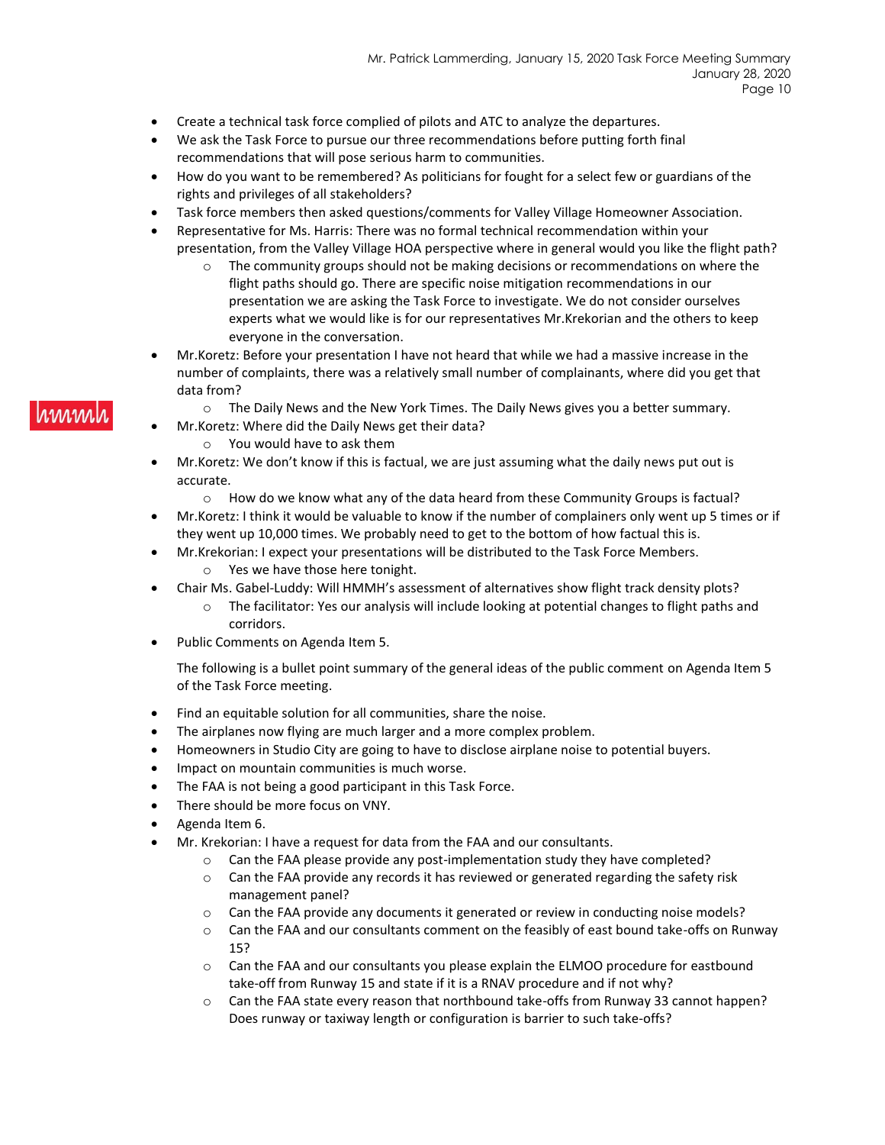- Create a technical task force complied of pilots and ATC to analyze the departures.
- We ask the Task Force to pursue our three recommendations before putting forth final recommendations that will pose serious harm to communities.
- How do you want to be remembered? As politicians for fought for a select few or guardians of the rights and privileges of all stakeholders?
- Task force members then asked questions/comments for Valley Village Homeowner Association.
- Representative for Ms. Harris: There was no formal technical recommendation within your presentation, from the Valley Village HOA perspective where in general would you like the flight path?
	- $\circ$  The community groups should not be making decisions or recommendations on where the flight paths should go. There are specific noise mitigation recommendations in our presentation we are asking the Task Force to investigate. We do not consider ourselves experts what we would like is for our representatives Mr.Krekorian and the others to keep everyone in the conversation.
- Mr.Koretz: Before your presentation I have not heard that while we had a massive increase in the number of complaints, there was a relatively small number of complainants, where did you get that data from?
	- $\circ$  The Daily News and the New York Times. The Daily News gives you a better summary.
	- Mr.Koretz: Where did the Daily News get their data?
		- o You would have to ask them
- Mr.Koretz: We don't know if this is factual, we are just assuming what the daily news put out is accurate.
	- $\circ$  How do we know what any of the data heard from these Community Groups is factual?
- Mr.Koretz: I think it would be valuable to know if the number of complainers only went up 5 times or if they went up 10,000 times. We probably need to get to the bottom of how factual this is.
- Mr.Krekorian: I expect your presentations will be distributed to the Task Force Members. o Yes we have those here tonight.
- Chair Ms. Gabel-Luddy: Will HMMH's assessment of alternatives show flight track density plots?
	- $\circ$  The facilitator: Yes our analysis will include looking at potential changes to flight paths and corridors.
- Public Comments on Agenda Item 5.

The following is a bullet point summary of the general ideas of the public comment on Agenda Item 5 of the Task Force meeting.

- Find an equitable solution for all communities, share the noise.
- The airplanes now flying are much larger and a more complex problem.
- Homeowners in Studio City are going to have to disclose airplane noise to potential buyers.
- Impact on mountain communities is much worse.
- The FAA is not being a good participant in this Task Force.
- There should be more focus on VNY.
- Agenda Item 6.
- Mr. Krekorian: I have a request for data from the FAA and our consultants.
	- $\circ$  Can the FAA please provide any post-implementation study they have completed?
	- $\circ$  Can the FAA provide any records it has reviewed or generated regarding the safety risk management panel?
	- $\circ$  Can the FAA provide any documents it generated or review in conducting noise models?
	- o Can the FAA and our consultants comment on the feasibly of east bound take-offs on Runway 15?
	- $\circ$  Can the FAA and our consultants you please explain the ELMOO procedure for eastbound take-off from Runway 15 and state if it is a RNAV procedure and if not why?
	- o Can the FAA state every reason that northbound take-offs from Runway 33 cannot happen? Does runway or taxiway length or configuration is barrier to such take-offs?

### **MMM**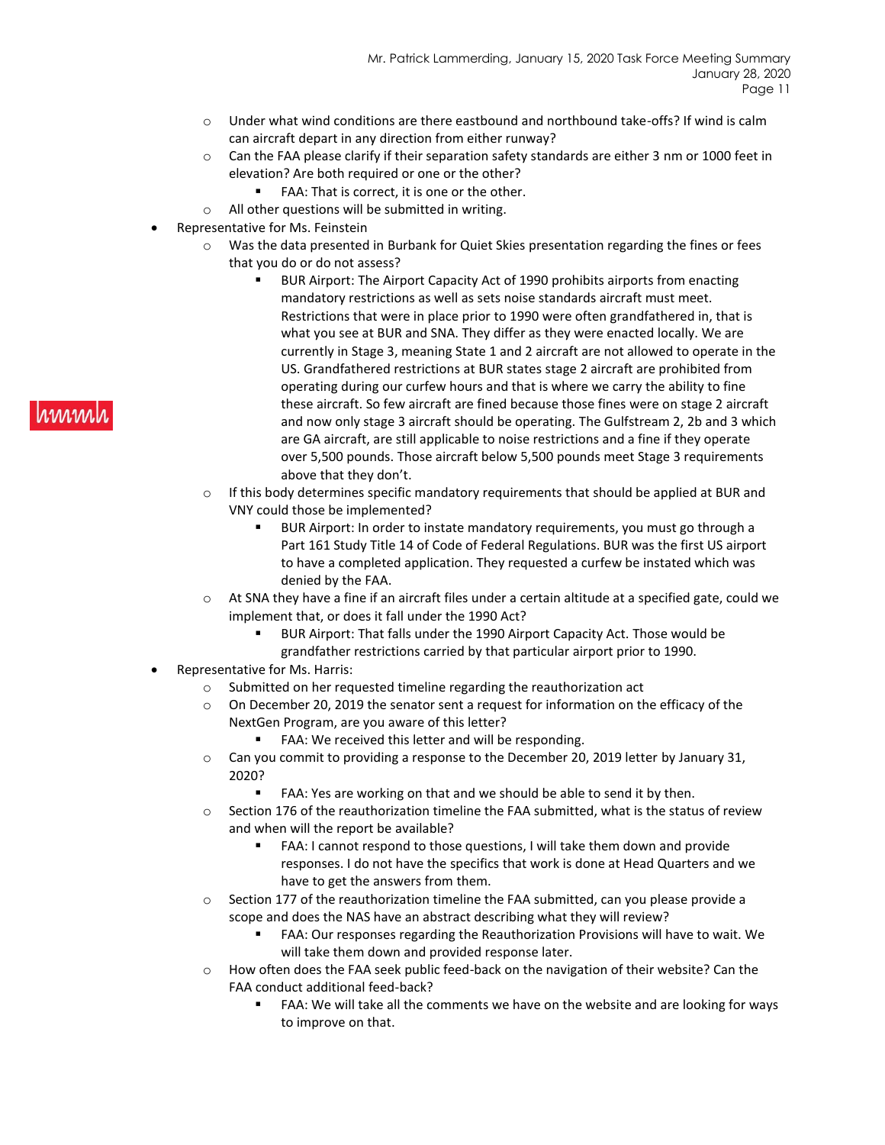- $\circ$  Under what wind conditions are there eastbound and northbound take-offs? If wind is calm can aircraft depart in any direction from either runway?
- $\circ$  Can the FAA please clarify if their separation safety standards are either 3 nm or 1000 feet in elevation? Are both required or one or the other?
	- FAA: That is correct, it is one or the other.
- o All other questions will be submitted in writing.
- Representative for Ms. Feinstein
	- o Was the data presented in Burbank for Quiet Skies presentation regarding the fines or fees that you do or do not assess?
		- BUR Airport: The Airport Capacity Act of 1990 prohibits airports from enacting mandatory restrictions as well as sets noise standards aircraft must meet. Restrictions that were in place prior to 1990 were often grandfathered in, that is what you see at BUR and SNA. They differ as they were enacted locally. We are currently in Stage 3, meaning State 1 and 2 aircraft are not allowed to operate in the US. Grandfathered restrictions at BUR states stage 2 aircraft are prohibited from operating during our curfew hours and that is where we carry the ability to fine these aircraft. So few aircraft are fined because those fines were on stage 2 aircraft and now only stage 3 aircraft should be operating. The Gulfstream 2, 2b and 3 which are GA aircraft, are still applicable to noise restrictions and a fine if they operate over 5,500 pounds. Those aircraft below 5,500 pounds meet Stage 3 requirements above that they don't.
	- $\circ$  If this body determines specific mandatory requirements that should be applied at BUR and VNY could those be implemented?
		- BUR Airport: In order to instate mandatory requirements, you must go through a Part 161 Study Title 14 of Code of Federal Regulations. BUR was the first US airport to have a completed application. They requested a curfew be instated which was denied by the FAA.
	- $\circ$  At SNA they have a fine if an aircraft files under a certain altitude at a specified gate, could we implement that, or does it fall under the 1990 Act?
		- BUR Airport: That falls under the 1990 Airport Capacity Act. Those would be grandfather restrictions carried by that particular airport prior to 1990.
- Representative for Ms. Harris:
	- o Submitted on her requested timeline regarding the reauthorization act
	- o On December 20, 2019 the senator sent a request for information on the efficacy of the NextGen Program, are you aware of this letter?
		- FAA: We received this letter and will be responding.
	- $\circ$  Can you commit to providing a response to the December 20, 2019 letter by January 31, 2020?
		- FAA: Yes are working on that and we should be able to send it by then.
	- o Section 176 of the reauthorization timeline the FAA submitted, what is the status of review and when will the report be available?
		- FAA: I cannot respond to those questions, I will take them down and provide responses. I do not have the specifics that work is done at Head Quarters and we have to get the answers from them.
	- o Section 177 of the reauthorization timeline the FAA submitted, can you please provide a scope and does the NAS have an abstract describing what they will review?
		- FAA: Our responses regarding the Reauthorization Provisions will have to wait. We will take them down and provided response later.
	- o How often does the FAA seek public feed-back on the navigation of their website? Can the FAA conduct additional feed-back?
		- FAA: We will take all the comments we have on the website and are looking for ways to improve on that.

#### **MWW**